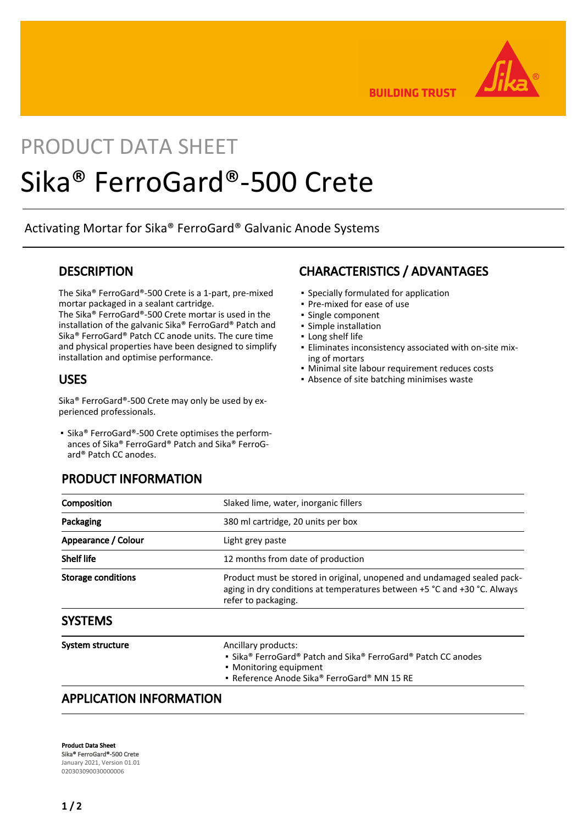

**BUILDING TRUST** 

# PRODUCT DATA SHEET Sika® FerroGard®-500 Crete

Activating Mortar for Sika® FerroGard® Galvanic Anode Systems

#### **DESCRIPTION**

The Sika® FerroGard®-500 Crete is a 1-part, pre-mixed mortar packaged in a sealant cartridge.

The Sika® FerroGard®-500 Crete mortar is used in the installation of the galvanic Sika® FerroGard® Patch and Sika® FerroGard® Patch CC anode units. The cure time and physical properties have been designed to simplify installation and optimise performance.

#### USES

Sika® FerroGard®-500 Crete may only be used by experienced professionals.

■ Sika® FerroGard®-500 Crete optimises the performances of Sika® FerroGard® Patch and Sika® FerroGard® Patch CC anodes.

#### PRODUCT INFORMATION

## CHARACTERISTICS / ADVANTAGES

- Specially formulated for application
- Pre-mixed for ease of use
- Single component
- Simple installation
- Long shelf life
- Eliminates inconsistency associated with on-site mix-▪ ing of mortars
- Minimal site labour requirement reduces costs
- **Absence of site batching minimises waste**

| Composition               | Slaked lime, water, inorganic fillers                                                                                                                                      |
|---------------------------|----------------------------------------------------------------------------------------------------------------------------------------------------------------------------|
| Packaging                 | 380 ml cartridge, 20 units per box                                                                                                                                         |
| Appearance / Colour       | Light grey paste                                                                                                                                                           |
| <b>Shelf life</b>         | 12 months from date of production                                                                                                                                          |
| <b>Storage conditions</b> | Product must be stored in original, unopened and undamaged sealed pack-<br>aging in dry conditions at temperatures between +5 °C and +30 °C. Always<br>refer to packaging. |
| <b>SYSTEMS</b>            |                                                                                                                                                                            |

| System structure | Ancillary products:<br>• Sika® FerroGard® Patch and Sika® FerroGard® Patch CC anodes<br>• Monitoring equipment<br>• Reference Anode Sika® FerroGard® MN 15 RE |
|------------------|---------------------------------------------------------------------------------------------------------------------------------------------------------------|
|                  |                                                                                                                                                               |

# APPLICATION INFORMATION

Product Data Sheet Sika® FerroGard®-500 Crete January 2021, Version 01.01 020303090030000006